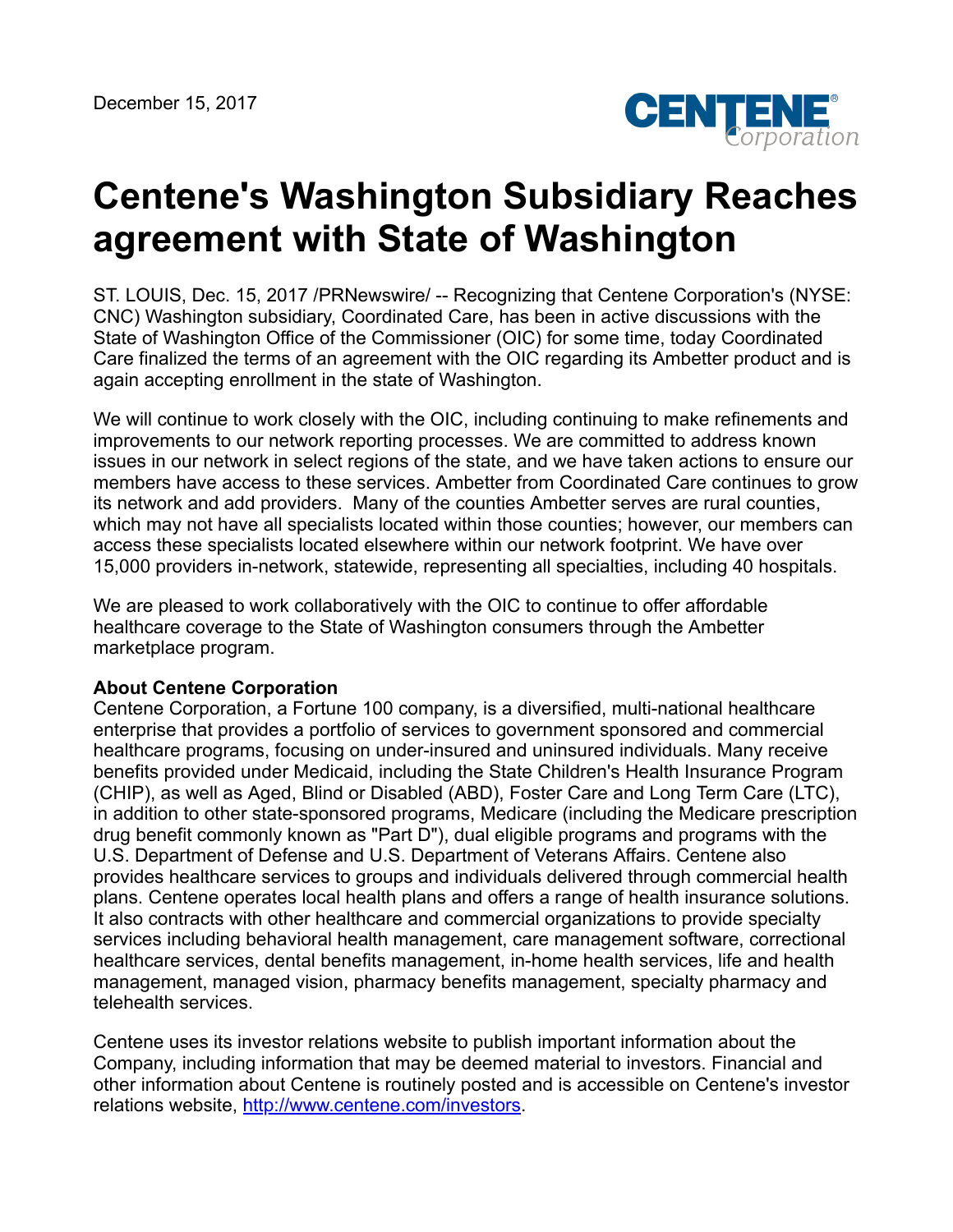

## **Centene's Washington Subsidiary Reaches agreement with State of Washington**

ST. LOUIS, Dec. 15, 2017 /PRNewswire/ -- Recognizing that Centene Corporation's (NYSE: CNC) Washington subsidiary, Coordinated Care, has been in active discussions with the State of Washington Office of the Commissioner (OIC) for some time, today Coordinated Care finalized the terms of an agreement with the OIC regarding its Ambetter product and is again accepting enrollment in the state of Washington.

We will continue to work closely with the OIC, including continuing to make refinements and improvements to our network reporting processes. We are committed to address known issues in our network in select regions of the state, and we have taken actions to ensure our members have access to these services. Ambetter from Coordinated Care continues to grow its network and add providers. Many of the counties Ambetter serves are rural counties, which may not have all specialists located within those counties; however, our members can access these specialists located elsewhere within our network footprint. We have over 15,000 providers in-network, statewide, representing all specialties, including 40 hospitals.

We are pleased to work collaboratively with the OIC to continue to offer affordable healthcare coverage to the State of Washington consumers through the Ambetter marketplace program.

## **About Centene Corporation**

Centene Corporation, a Fortune 100 company, is a diversified, multi-national healthcare enterprise that provides a portfolio of services to government sponsored and commercial healthcare programs, focusing on under-insured and uninsured individuals. Many receive benefits provided under Medicaid, including the State Children's Health Insurance Program (CHIP), as well as Aged, Blind or Disabled (ABD), Foster Care and Long Term Care (LTC), in addition to other state-sponsored programs, Medicare (including the Medicare prescription drug benefit commonly known as "Part D"), dual eligible programs and programs with the U.S. Department of Defense and U.S. Department of Veterans Affairs. Centene also provides healthcare services to groups and individuals delivered through commercial health plans. Centene operates local health plans and offers a range of health insurance solutions. It also contracts with other healthcare and commercial organizations to provide specialty services including behavioral health management, care management software, correctional healthcare services, dental benefits management, in-home health services, life and health management, managed vision, pharmacy benefits management, specialty pharmacy and telehealth services.

Centene uses its investor relations website to publish important information about the Company, including information that may be deemed material to investors. Financial and other information about Centene is routinely posted and is accessible on Centene's investor relations website, <http://www.centene.com/investors>.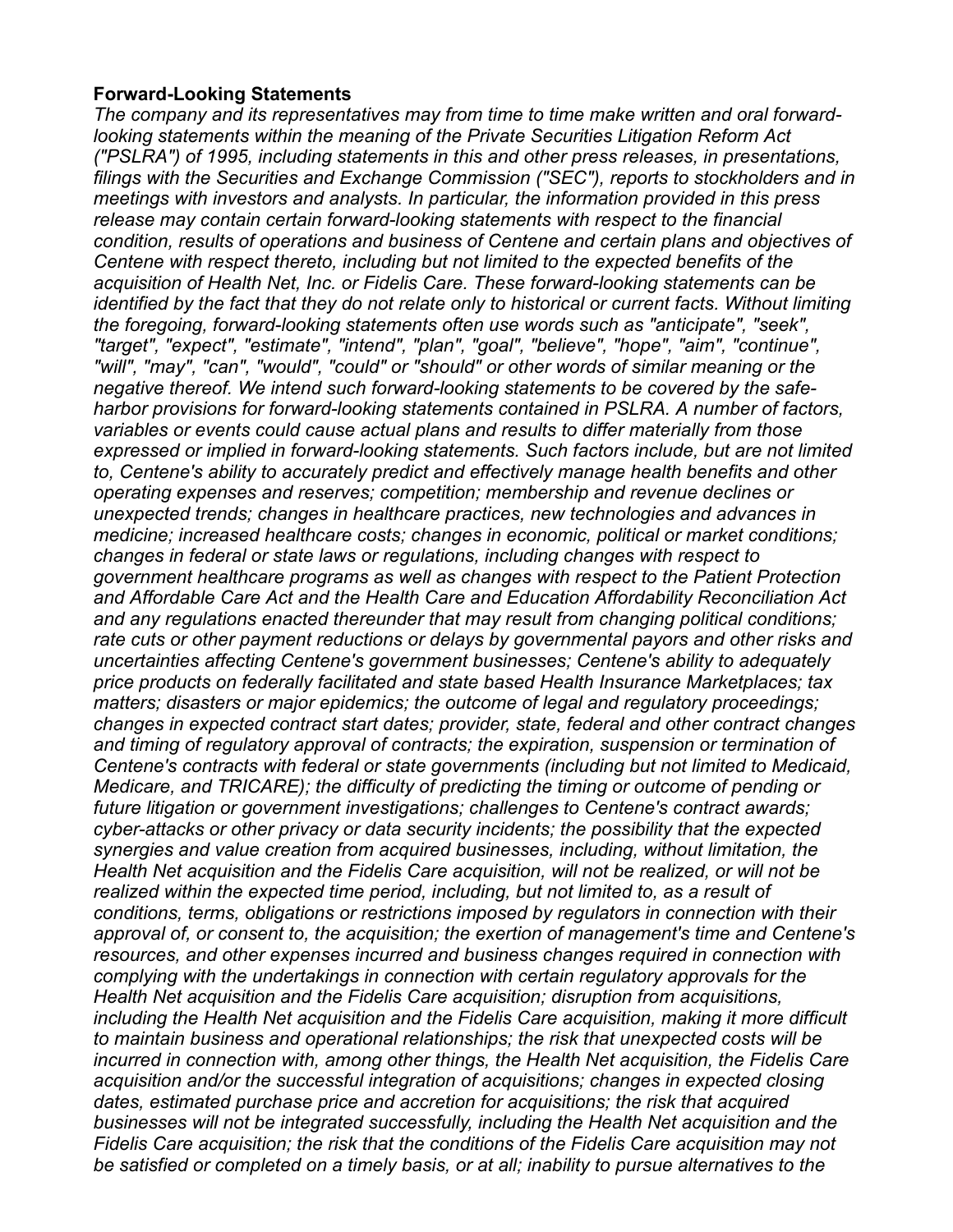## **Forward-Looking Statements**

*The company and its representatives may from time to time make written and oral forwardlooking statements within the meaning of the Private Securities Litigation Reform Act ("PSLRA") of 1995, including statements in this and other press releases, in presentations, filings with the Securities and Exchange Commission ("SEC"), reports to stockholders and in meetings with investors and analysts. In particular, the information provided in this press release may contain certain forward-looking statements with respect to the financial condition, results of operations and business of Centene and certain plans and objectives of Centene with respect thereto, including but not limited to the expected benefits of the acquisition of Health Net, Inc. or Fidelis Care. These forward-looking statements can be identified by the fact that they do not relate only to historical or current facts. Without limiting the foregoing, forward-looking statements often use words such as "anticipate", "seek", "target", "expect", "estimate", "intend", "plan", "goal", "believe", "hope", "aim", "continue", "will", "may", "can", "would", "could" or "should" or other words of similar meaning or the negative thereof. We intend such forward-looking statements to be covered by the safeharbor provisions for forward-looking statements contained in PSLRA. A number of factors, variables or events could cause actual plans and results to differ materially from those expressed or implied in forward-looking statements. Such factors include, but are not limited to, Centene's ability to accurately predict and effectively manage health benefits and other operating expenses and reserves; competition; membership and revenue declines or unexpected trends; changes in healthcare practices, new technologies and advances in medicine; increased healthcare costs; changes in economic, political or market conditions; changes in federal or state laws or regulations, including changes with respect to government healthcare programs as well as changes with respect to the Patient Protection and Affordable Care Act and the Health Care and Education Affordability Reconciliation Act and any regulations enacted thereunder that may result from changing political conditions; rate cuts or other payment reductions or delays by governmental payors and other risks and uncertainties affecting Centene's government businesses; Centene's ability to adequately price products on federally facilitated and state based Health Insurance Marketplaces; tax matters; disasters or major epidemics; the outcome of legal and regulatory proceedings; changes in expected contract start dates; provider, state, federal and other contract changes and timing of regulatory approval of contracts; the expiration, suspension or termination of Centene's contracts with federal or state governments (including but not limited to Medicaid, Medicare, and TRICARE); the difficulty of predicting the timing or outcome of pending or future litigation or government investigations; challenges to Centene's contract awards; cyber-attacks or other privacy or data security incidents; the possibility that the expected synergies and value creation from acquired businesses, including, without limitation, the Health Net acquisition and the Fidelis Care acquisition, will not be realized, or will not be realized within the expected time period, including, but not limited to, as a result of conditions, terms, obligations or restrictions imposed by regulators in connection with their approval of, or consent to, the acquisition; the exertion of management's time and Centene's resources, and other expenses incurred and business changes required in connection with complying with the undertakings in connection with certain regulatory approvals for the Health Net acquisition and the Fidelis Care acquisition; disruption from acquisitions, including the Health Net acquisition and the Fidelis Care acquisition, making it more difficult to maintain business and operational relationships; the risk that unexpected costs will be incurred in connection with, among other things, the Health Net acquisition, the Fidelis Care acquisition and/or the successful integration of acquisitions; changes in expected closing dates, estimated purchase price and accretion for acquisitions; the risk that acquired businesses will not be integrated successfully, including the Health Net acquisition and the Fidelis Care acquisition; the risk that the conditions of the Fidelis Care acquisition may not be satisfied or completed on a timely basis, or at all; inability to pursue alternatives to the*